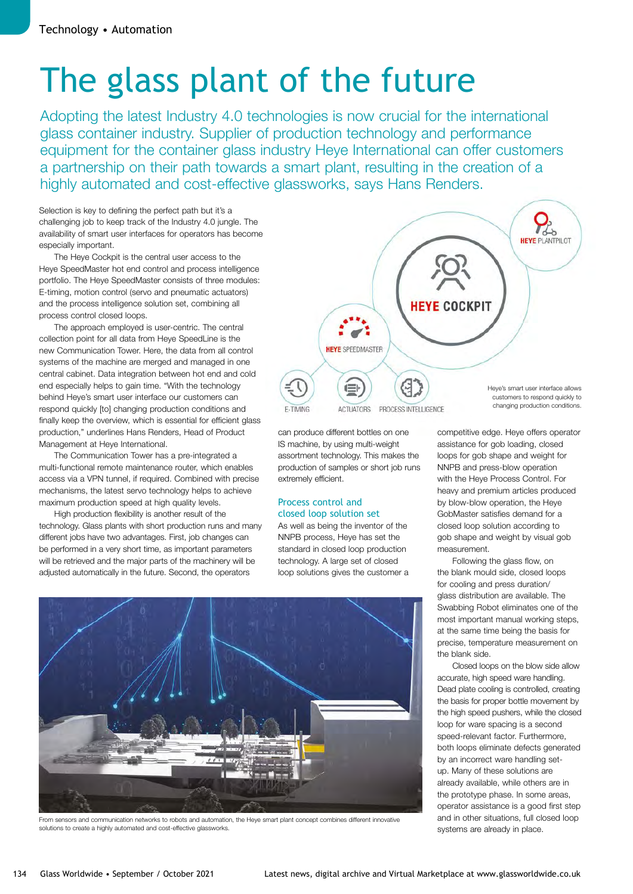# The glass plant of the future

Adopting the latest Industry 4.0 technologies is now crucial for the international glass container industry. Supplier of production technology and performance equipment for the container glass industry Heye International can offer customers a partnership on their path towards a smart plant, resulting in the creation of a highly automated and cost-effective glassworks, says Hans Renders.

Selection is key to defining the perfect path but it's a challenging job to keep track of the Industry 4.0 jungle. The availability of smart user interfaces for operators has become especially important.

The Heye Cockpit is the central user access to the Heye SpeedMaster hot end control and process intelligence portfolio. The Heye SpeedMaster consists of three modules: E-timing, motion control (servo and pneumatic actuators) and the process intelligence solution set, combining all process control closed loops.

The approach employed is user-centric. The central collection point for all data from Heye SpeedLine is the new Communication Tower. Here, the data from all control systems of the machine are merged and managed in one central cabinet. Data integration between hot end and cold end especially helps to gain time. "With the technology behind Heye's smart user interface our customers can respond quickly [to] changing production conditions and finally keep the overview, which is essential for efficient glass production," underlines Hans Renders, Head of Product Management at Heye International.

The Communication Tower has a pre-integrated a multi-functional remote maintenance router, which enables access via a VPN tunnel, if required. Combined with precise mechanisms, the latest servo technology helps to achieve maximum production speed at high quality levels.

High production flexibility is another result of the technology. Glass plants with short production runs and many different jobs have two advantages. First, job changes can be performed in a very short time, as important parameters will be retrieved and the major parts of the machinery will be adjusted automatically in the future. Second, the operators



can produce different bottles on one IS machine, by using multi-weight assortment technology. This makes the production of samples or short job runs extremely efficient.

#### Process control and closed loop solution set

As well as being the inventor of the NNPB process, Heye has set the standard in closed loop production technology. A large set of closed loop solutions gives the customer a



From sensors and communication networks to robots and automation, the Heye smart plant concept combines different innovative solutions to create a highly automated and cost-effective glassworks.

competitive edge. Heye offers operator assistance for gob loading, closed loops for gob shape and weight for NNPB and press-blow operation with the Heye Process Control. For heavy and premium articles produced by blow-blow operation, the Heye GobMaster satisfies demand for a closed loop solution according to gob shape and weight by visual gob measurement.

Following the glass flow, on the blank mould side, closed loops for cooling and press duration/ glass distribution are available. The Swabbing Robot eliminates one of the most important manual working steps, at the same time being the basis for precise, temperature measurement on the blank side.

Closed loops on the blow side allow accurate, high speed ware handling. Dead plate cooling is controlled, creating the basis for proper bottle movement by the high speed pushers, while the closed loop for ware spacing is a second speed-relevant factor. Furthermore, both loops eliminate defects generated by an incorrect ware handling setup. Many of these solutions are already available, while others are in the prototype phase. In some areas, operator assistance is a good first step and in other situations, full closed loop systems are already in place.